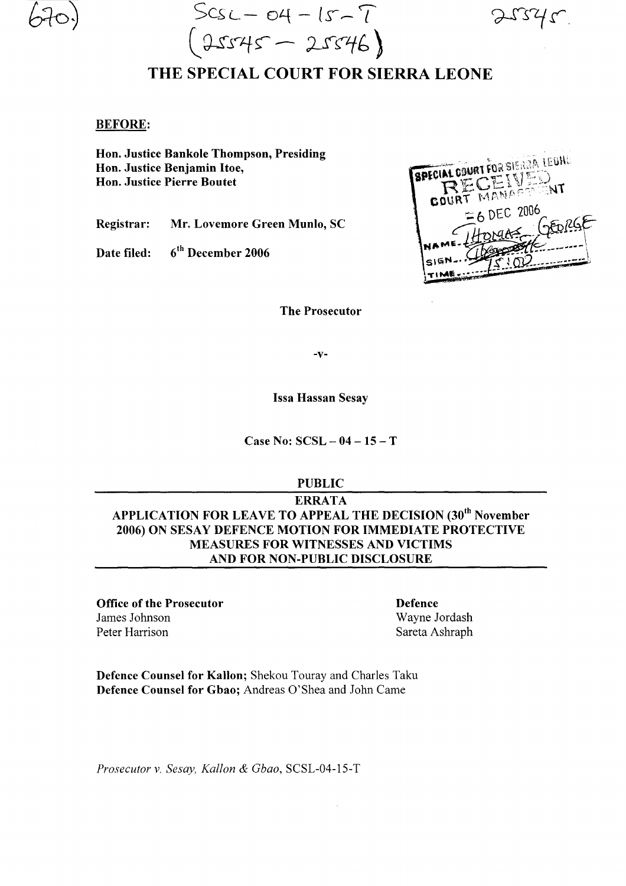$Scsc - 04 - 15 - 7$   $25375$  $(25545 - 25546)$ 

## THE SPECIAL COURT FOR SIERRA LEONE

## BEFORE:

Hon. Justice Bankole Thompson, Presiding Hon. Justice Benjamin Itoe, Hon. Justice Pierre Boutet

Registrar: Mr. Lovemore Green Munlo, SC

Date filed: 6<sup>th</sup> December 2006

**SPECIAL COURT FOR SIENAR LEUHL NT** MANAE 6 DEC 2006

The Prosecutor

-v-

Issa Hassan Sesay

Case No:  $SCSL - 04 - 15 - T$ 

PUBLIC

ERRATA APPLICATION FOR LEAVE TO APPEAL THE DECISION (30<sup>th</sup> November 2006) ON SESAY DEFENCE MOTION FOR IMMEDIATE PROTECTIVE MEASURES FOR WITNESSES AND VICTIMS AND FOR NON-PUBLIC DISCLOSURE

Office of the Prosecutor James Johnson Peter Harrison

Defence Wayne Jordash Sareta Ashraph

Defence Counsel for Kallon; Shekou Touray and Charles Taku Defence Counsel for Gbao; Andreas O'Shea and John Came

*Prosecutor* v. *Sesay, Kallon* & *Gbao,* SCSL-04-15-T